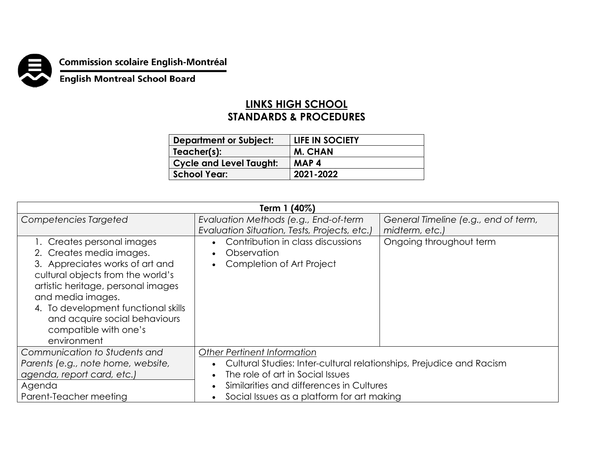

## **Commission scolaire English-Montréal<br>English Montreal School Board**

## **LINKS HIGH SCHOOL STANDARDS & PROCEDURES**

| <b>Department or Subject:</b>  | LIFE IN SOCIETY |
|--------------------------------|-----------------|
| Teacher(s):                    | <b>M. CHAN</b>  |
| <b>Cycle and Level Taught:</b> | MAP4            |
| <b>School Year:</b>            | 2021-2022       |

| Term 1 (40%)                                                                                                                                                                                                                                                                                              |                                                                               |                                      |  |  |
|-----------------------------------------------------------------------------------------------------------------------------------------------------------------------------------------------------------------------------------------------------------------------------------------------------------|-------------------------------------------------------------------------------|--------------------------------------|--|--|
| Competencies Targeted                                                                                                                                                                                                                                                                                     | Evaluation Methods (e.g., End-of-term                                         | General Timeline (e.g., end of term, |  |  |
|                                                                                                                                                                                                                                                                                                           | Evaluation Situation, Tests, Projects, etc.)                                  | midterm, etc.)                       |  |  |
| 1. Creates personal images<br>2. Creates media images.<br>3. Appreciates works of art and<br>cultural objects from the world's<br>artistic heritage, personal images<br>and media images.<br>4. To development functional skills<br>and acquire social behaviours<br>compatible with one's<br>environment | Contribution in class discussions<br>Observation<br>Completion of Art Project | Ongoing throughout term              |  |  |
| Communication to Students and                                                                                                                                                                                                                                                                             | Other Pertinent Information                                                   |                                      |  |  |
| Parents (e.g., note home, website,                                                                                                                                                                                                                                                                        | Cultural Studies: Inter-cultural relationships, Prejudice and Racism          |                                      |  |  |
| agenda, report card, etc.)                                                                                                                                                                                                                                                                                | The role of art in Social Issues                                              |                                      |  |  |
| Agenda                                                                                                                                                                                                                                                                                                    | Similarities and differences in Cultures                                      |                                      |  |  |
| Parent-Teacher meeting                                                                                                                                                                                                                                                                                    | Social Issues as a platform for art making                                    |                                      |  |  |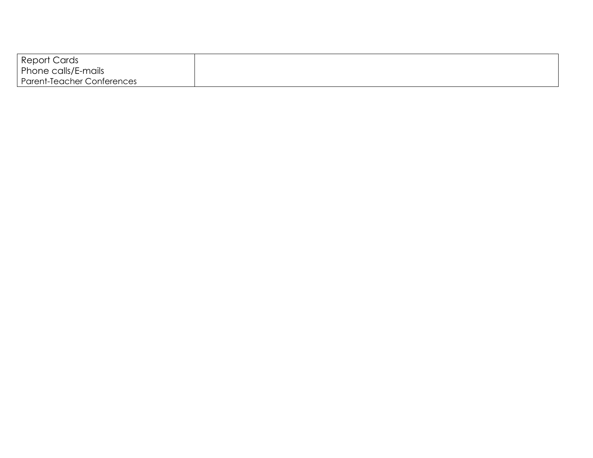| Report Cards                      |  |
|-----------------------------------|--|
| Phone calls/E-mails               |  |
| <b>Parent-Teacher Conferences</b> |  |